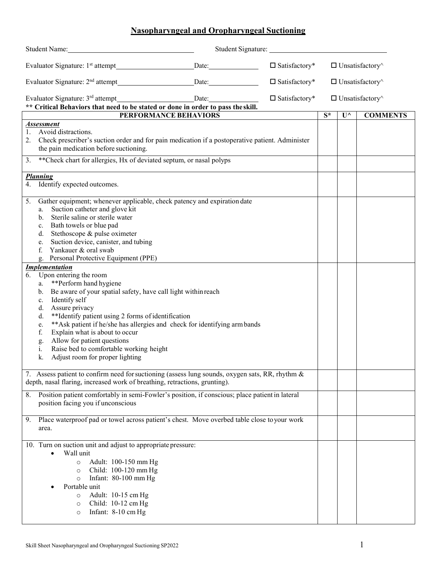## **Nasopharyngeal and Oropharyngeal Suctioning**

| Student Name:                                                                                         |  |                         |                               |                               |                 |
|-------------------------------------------------------------------------------------------------------|--|-------------------------|-------------------------------|-------------------------------|-----------------|
|                                                                                                       |  | $\square$ Satisfactory* |                               | $\Box$ Unsatisfactory $\land$ |                 |
| Evaluator Signature: 2 <sup>nd</sup> attempt Date: Date:                                              |  | $\square$ Satisfactory* |                               | $\Box$ Unsatisfactory $\land$ |                 |
| ** Critical Behaviors that need to be stated or done in order to pass the skill.                      |  | $\square$ Satisfactory* | $\Box$ Unsatisfactory $\land$ |                               |                 |
| PERFORMANCE BEHAVIORS                                                                                 |  |                         | $\overline{\mathbf{S}^*}$     | $U^{\wedge}$                  | <b>COMMENTS</b> |
| <b>Assessment</b>                                                                                     |  |                         |                               |                               |                 |
| Avoid distractions.<br>1.                                                                             |  |                         |                               |                               |                 |
| Check prescriber's suction order and for pain medication if a postoperative patient. Administer<br>2. |  |                         |                               |                               |                 |
| the pain medication before suctioning.                                                                |  |                         |                               |                               |                 |
| ** Check chart for allergies, Hx of deviated septum, or nasal polyps<br>3.                            |  |                         |                               |                               |                 |
| <b>Planning</b>                                                                                       |  |                         |                               |                               |                 |
| 4.<br>Identify expected outcomes.                                                                     |  |                         |                               |                               |                 |
|                                                                                                       |  |                         |                               |                               |                 |
| Gather equipment; whenever applicable, check patency and expiration date<br>5.                        |  |                         |                               |                               |                 |
| Suction catheter and glove kit<br>a.<br>b. Sterile saline or sterile water                            |  |                         |                               |                               |                 |
| c. Bath towels or blue pad                                                                            |  |                         |                               |                               |                 |
| Stethoscope & pulse oximeter<br>d.                                                                    |  |                         |                               |                               |                 |
| Suction device, canister, and tubing<br>e.                                                            |  |                         |                               |                               |                 |
| Yankauer & oral swab<br>f.                                                                            |  |                         |                               |                               |                 |
| Personal Protective Equipment (PPE)                                                                   |  |                         |                               |                               |                 |
| <b>Implementation</b>                                                                                 |  |                         |                               |                               |                 |
| Upon entering the room<br>6.                                                                          |  |                         |                               |                               |                 |
| **Perform hand hygiene<br>a.<br>Be aware of your spatial safety, have call light within reach<br>b.   |  |                         |                               |                               |                 |
| Identify self<br>c.                                                                                   |  |                         |                               |                               |                 |
| Assure privacy<br>d.                                                                                  |  |                         |                               |                               |                 |
| **Identify patient using 2 forms of identification<br>d.                                              |  |                         |                               |                               |                 |
| ** Ask patient if he/she has allergies and check for identifying arm bands<br>e.                      |  |                         |                               |                               |                 |
| Explain what is about to occur<br>f.                                                                  |  |                         |                               |                               |                 |
| Allow for patient questions<br>g.                                                                     |  |                         |                               |                               |                 |
| Raise bed to comfortable working height<br>i.<br>Adjust room for proper lighting<br>k.                |  |                         |                               |                               |                 |
|                                                                                                       |  |                         |                               |                               |                 |
| 7. Assess patient to confirm need for suctioning (assess lung sounds, oxygen sats, RR, rhythm $\&$    |  |                         |                               |                               |                 |
| depth, nasal flaring, increased work of breathing, retractions, grunting).                            |  |                         |                               |                               |                 |
| Position patient comfortably in semi-Fowler's position, if conscious; place patient in lateral<br>8.  |  |                         |                               |                               |                 |
| position facing you if unconscious                                                                    |  |                         |                               |                               |                 |
|                                                                                                       |  |                         |                               |                               |                 |
| Place waterproof pad or towel across patient's chest. Move overbed table close to your work<br>9.     |  |                         |                               |                               |                 |
| area.                                                                                                 |  |                         |                               |                               |                 |
| 10. Turn on suction unit and adjust to appropriate pressure:                                          |  |                         |                               |                               |                 |
| Wall unit                                                                                             |  |                         |                               |                               |                 |
| Adult: 100-150 mm Hg<br>$\circ$                                                                       |  |                         |                               |                               |                 |
| Child: 100-120 mm Hg<br>$\circ$                                                                       |  |                         |                               |                               |                 |
| Infant: 80-100 mm Hg<br>$\circ$                                                                       |  |                         |                               |                               |                 |
| Portable unit                                                                                         |  |                         |                               |                               |                 |
| Adult: 10-15 cm Hg<br>$\circ$                                                                         |  |                         |                               |                               |                 |
| Child: 10-12 cm Hg<br>$\circ$<br>Infant: 8-10 cm Hg<br>$\circ$                                        |  |                         |                               |                               |                 |
|                                                                                                       |  |                         |                               |                               |                 |